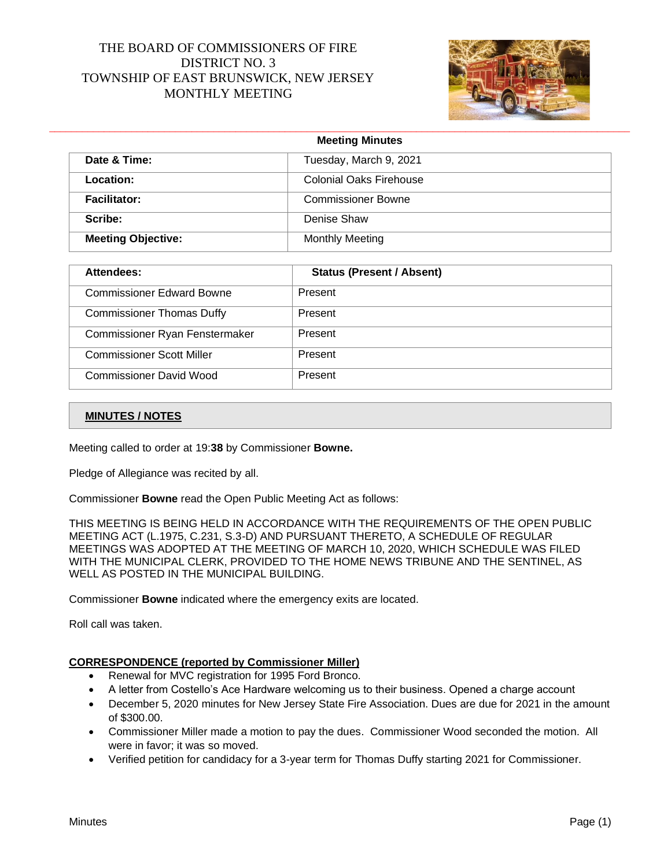# THE BOARD OF COMMISSIONERS OF FIRE DISTRICT NO. 3 TOWNSHIP OF EAST BRUNSWICK, NEW JERSEY MONTHLY MEETING



|                           | <b>Meeting Minutes</b>         |  |
|---------------------------|--------------------------------|--|
| Date & Time:              | Tuesday, March 9, 2021         |  |
| Location:                 | <b>Colonial Oaks Firehouse</b> |  |
| Facilitator:              | <b>Commissioner Bowne</b>      |  |
| Scribe:                   | Denise Shaw                    |  |
| <b>Meeting Objective:</b> | <b>Monthly Meeting</b>         |  |

| Attendees:                       | <b>Status (Present / Absent)</b> |
|----------------------------------|----------------------------------|
| <b>Commissioner Edward Bowne</b> | Present                          |
| <b>Commissioner Thomas Duffy</b> | Present                          |
| Commissioner Ryan Fenstermaker   | Present                          |
| <b>Commissioner Scott Miller</b> | Present                          |
| <b>Commissioner David Wood</b>   | Present                          |

#### **MINUTES / NOTES**

Meeting called to order at 19:**38** by Commissioner **Bowne.**

Pledge of Allegiance was recited by all.

Commissioner **Bowne** read the Open Public Meeting Act as follows:

THIS MEETING IS BEING HELD IN ACCORDANCE WITH THE REQUIREMENTS OF THE OPEN PUBLIC MEETING ACT (L.1975, C.231, S.3-D) AND PURSUANT THERETO, A SCHEDULE OF REGULAR MEETINGS WAS ADOPTED AT THE MEETING OF MARCH 10, 2020, WHICH SCHEDULE WAS FILED WITH THE MUNICIPAL CLERK, PROVIDED TO THE HOME NEWS TRIBUNE AND THE SENTINEL, AS WELL AS POSTED IN THE MUNICIPAL BUILDING.

Commissioner **Bowne** indicated where the emergency exits are located.

Roll call was taken.

#### **CORRESPONDENCE (reported by Commissioner Miller)**

- Renewal for MVC registration for 1995 Ford Bronco.
- A letter from Costello's Ace Hardware welcoming us to their business. Opened a charge account
- December 5, 2020 minutes for New Jersey State Fire Association. Dues are due for 2021 in the amount of \$300.00.
- Commissioner Miller made a motion to pay the dues. Commissioner Wood seconded the motion. All were in favor; it was so moved.
- Verified petition for candidacy for a 3-year term for Thomas Duffy starting 2021 for Commissioner.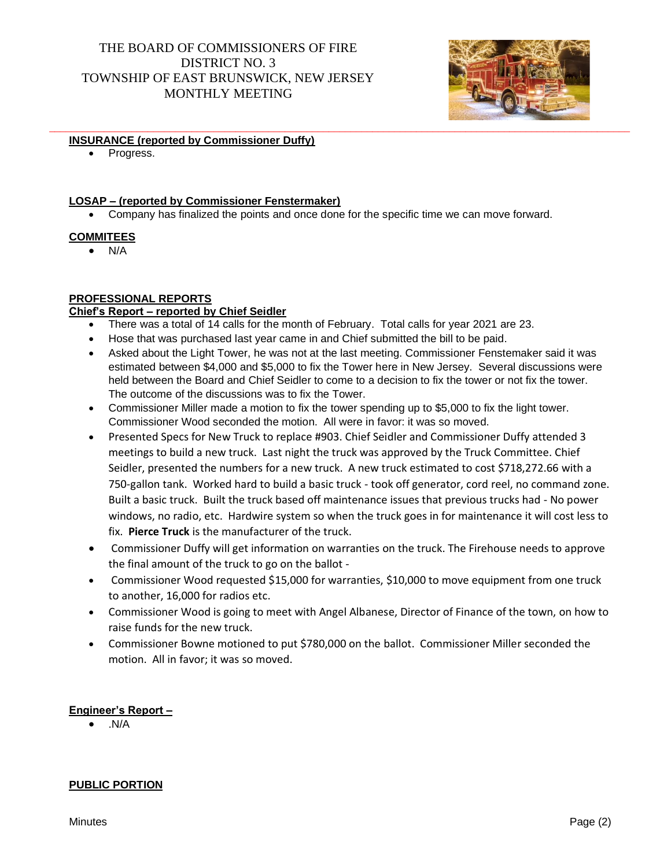# THE BOARD OF COMMISSIONERS OF FIRE DISTRICT NO. 3 TOWNSHIP OF EAST BRUNSWICK, NEW JERSEY MONTHLY MEETING



#### \_\_\_\_\_\_\_\_\_\_\_\_\_\_\_\_\_\_\_\_\_\_\_\_\_\_\_\_\_\_\_\_\_\_\_\_\_\_\_\_\_\_\_\_\_\_\_\_\_\_\_\_\_\_\_\_\_\_\_\_\_\_\_\_\_\_\_\_\_\_\_\_\_\_\_\_\_\_\_\_\_\_\_\_\_\_\_\_\_\_\_\_\_\_\_\_\_\_\_\_\_\_\_\_\_\_ **INSURANCE (reported by Commissioner Duffy)**

• Progress.

### **LOSAP – (reported by Commissioner Fenstermaker)**

• Company has finalized the points and once done for the specific time we can move forward.

### **COMMITEES**

 $N/A$ 

## **PROFESSIONAL REPORTS**

## **Chief's Report – reported by Chief Seidler**

- There was a total of 14 calls for the month of February. Total calls for year 2021 are 23.
- Hose that was purchased last year came in and Chief submitted the bill to be paid.
- Asked about the Light Tower, he was not at the last meeting. Commissioner Fenstemaker said it was estimated between \$4,000 and \$5,000 to fix the Tower here in New Jersey. Several discussions were held between the Board and Chief Seidler to come to a decision to fix the tower or not fix the tower. The outcome of the discussions was to fix the Tower.
- Commissioner Miller made a motion to fix the tower spending up to \$5,000 to fix the light tower. Commissioner Wood seconded the motion. All were in favor: it was so moved.
- Presented Specs for New Truck to replace #903. Chief Seidler and Commissioner Duffy attended 3 meetings to build a new truck. Last night the truck was approved by the Truck Committee. Chief Seidler, presented the numbers for a new truck. A new truck estimated to cost \$718,272.66 with a 750-gallon tank. Worked hard to build a basic truck - took off generator, cord reel, no command zone. Built a basic truck. Built the truck based off maintenance issues that previous trucks had - No power windows, no radio, etc. Hardwire system so when the truck goes in for maintenance it will cost less to fix. **Pierce Truck** is the manufacturer of the truck.
- Commissioner Duffy will get information on warranties on the truck. The Firehouse needs to approve the final amount of the truck to go on the ballot -
- Commissioner Wood requested \$15,000 for warranties, \$10,000 to move equipment from one truck to another, 16,000 for radios etc.
- Commissioner Wood is going to meet with Angel Albanese, Director of Finance of the town, on how to raise funds for the new truck.
- Commissioner Bowne motioned to put \$780,000 on the ballot. Commissioner Miller seconded the motion. All in favor; it was so moved.

## **Engineer's Report –**

• .N/A

## **PUBLIC PORTION**